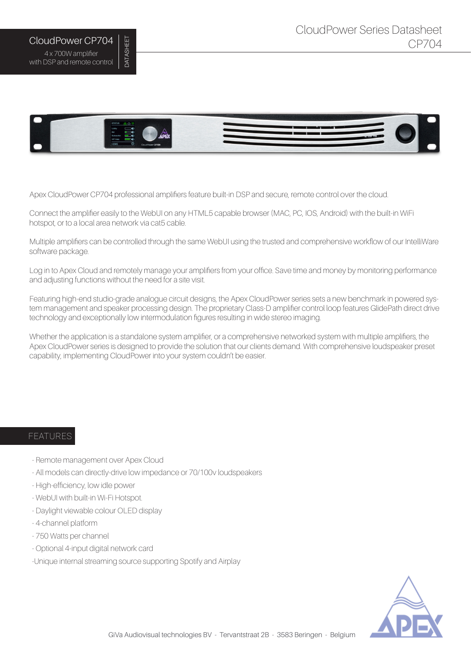

Apex CloudPower CP704 professional amplifiers feature built-in DSP and secure, remote control over the cloud.

Connect the amplifier easily to the WebUI on any HTML5 capable browser (MAC, PC, IOS, Android) with the built-in WiFi hotspot, or to a local area network via cat5 cable.

Multiple amplifiers can be controlled through the same WebUI using the trusted and comprehensive workflow of our IntelliWare software package.

Log in to Apex Cloud and remotely manage your amplifiers from your office. Save time and money by monitoring performance and adjusting functions without the need for a site visit.

Featuring high-end studio-grade analogue circuit designs, the Apex CloudPower series sets a new benchmark in powered system management and speaker processing design. The proprietary Class-D amplifier control loop features GlidePath direct drive technology and exceptionally low intermodulation figures resulting in wide stereo imaging.

Whether the application is a standalone system amplifier, or a comprehensive networked system with multiple amplifiers, the Apex CloudPower series is designed to provide the solution that our clients demand. With comprehensive loudspeaker preset capability, implementing CloudPower into your system couldn't be easier.

## FEATURES

- Remote management over Apex Cloud
- All models can directly-drive low impedance or 70/100v loudspeakers
- High-efficiency, low idle power
- WebUI with built-in Wi-Fi Hotspot.
- Daylight viewable colour OLED display
- 4-channel platform
- 750 Watts per channel

CloudPower CP704 4 x 700W amplifier with DSP and remote control DATASHEET

**DATASHEET** 

- Optional 4-input digital network card
- -Unique internal streaming source supporting Spotify and Airplay

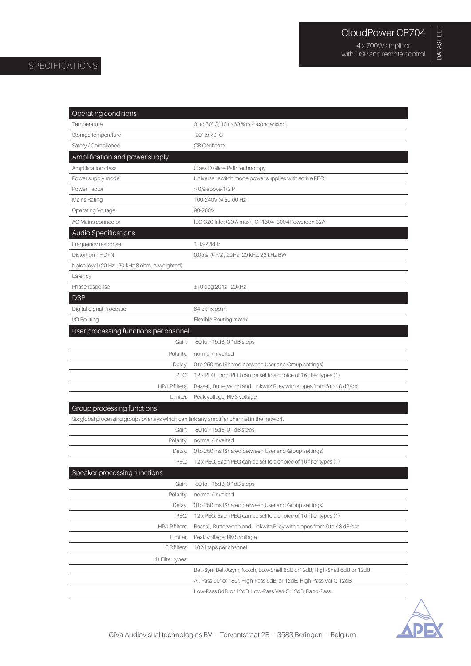DATASHEET

DATASHEET

## SPECIFICATIONS

| Operating conditions                                                                      |                                                                           |
|-------------------------------------------------------------------------------------------|---------------------------------------------------------------------------|
| Temperature                                                                               | 0° to 50° C, 10 to 60 % non-condensing                                    |
| Storage temperature                                                                       | -20° to 70° C                                                             |
| Safety / Compliance                                                                       | CB Cerificate                                                             |
| Amplification and power supply                                                            |                                                                           |
| Amplification class                                                                       | Class D Glide Path technology                                             |
| Power supply model                                                                        | Universal switch mode power supplies with active PFC                      |
| Power Factor                                                                              | > 0,9 above 1/2 P                                                         |
| Mains Rating                                                                              | 100-240V @ 50-60 Hz                                                       |
| <b>Operating Voltage</b>                                                                  | 90-260V                                                                   |
| <b>AC Mains connector</b>                                                                 | IEC C20 Inlet (20 A max), CP1504-3004 Powercon 32A                        |
| Audio Specifications                                                                      |                                                                           |
| Frequency response                                                                        | 1Hz-22kHz                                                                 |
| Distortion THD+N                                                                          | 0,05% @ P/2, 20Hz-20 kHz, 22 kHz BW                                       |
| Noise level (20 Hz - 20 kHz 8 ohm, A-weighted)                                            |                                                                           |
| Latency                                                                                   |                                                                           |
| Phase response                                                                            | $±10$ deg 20hz - 20kHz                                                    |
| <b>DSP</b>                                                                                |                                                                           |
| Digital Signal Processor                                                                  | 64 bit fix point                                                          |
| I/O Routing                                                                               | Flexible Routing matrix                                                   |
| User processing functions per channel                                                     |                                                                           |
| Gain:                                                                                     | $-80$ to $+15dB$ , 0, 1dB steps                                           |
| Polarity:                                                                                 | normal / inverted                                                         |
| Delay:                                                                                    | 0 to 250 ms (Shared between User and Group settings)                      |
| PEQ:                                                                                      | 12 x PEQ. Each PEQ can be set to a choice of 16 filter types (1)          |
| HP/LP filters:                                                                            | Bessel, Butterworth and Linkwitz Riley with slopes from 6 to 48 dB/oct    |
| Limiter:                                                                                  | Peak voltage, RMS voltage                                                 |
| <b>Group processing functions</b>                                                         |                                                                           |
| Six global processing groups overlays which can link any amplifier channel in the network |                                                                           |
| Gain:                                                                                     | $-80$ to $+15dB$ , 0, 1dB steps                                           |
| Polarity:                                                                                 | normal / inverted                                                         |
| Delay:                                                                                    | 0 to 250 ms (Shared between User and Group settings)                      |
| PEQ:                                                                                      | 12 x PEQ. Each PEQ can be set to a choice of 16 filter types (1)          |
| Speaker processing functions                                                              |                                                                           |
| Gain:                                                                                     | $-80$ to $+15dB$ , 0, 1dB steps                                           |
| Polarity:                                                                                 | normal / inverted                                                         |
| Delay:                                                                                    | 0 to 250 ms (Shared between User and Group settings)                      |
| PEQ:                                                                                      | 12 x PEQ. Each PEQ can be set to a choice of 16 filter types (1)          |
| HP/LP filters:                                                                            | Bessel, Butterworth and Linkwitz Riley with slopes from 6 to 48 dB/oct    |
| Limiter:                                                                                  | Peak voltage, RMS voltage                                                 |
| FIR filters:                                                                              | 1024 taps per channel                                                     |
| (1) Filter types:                                                                         |                                                                           |
|                                                                                           | Bell-Sym, Bell-Asym, Notch, Low-Shelf 6dB or 12dB, High-Shelf 6dB or 12dB |
|                                                                                           | All-Pass 90° or 180°, High-Pass 6dB, or 12dB, High-Pass VariQ 12dB,       |
|                                                                                           | Low-Pass 6dB or 12dB, Low-Pass Vari-Q 12dB, Band-Pass                     |

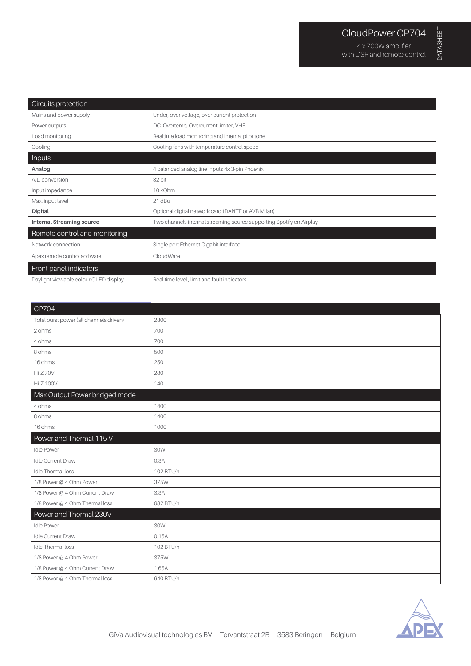| Circuits protection                   |                                                                      |
|---------------------------------------|----------------------------------------------------------------------|
| Mains and power supply                | Under, over voltage, over current protection                         |
| Power outputs                         | DC, Overtemp, Overcurrent limiter, VHF                               |
| Load monitoring                       | Realtime load monitoring and internal pilot tone                     |
| Cooling                               | Cooling fans with temperature control speed                          |
| Inputs                                |                                                                      |
| Analog                                | 4 balanced analog line inputs 4x 3-pin Phoenix                       |
| A/D conversion                        | 32 bit                                                               |
| Input impedance                       | 10 kOhm                                                              |
| Max. input level                      | 21 dBu                                                               |
| <b>Digital</b>                        | Optional digital network card (DANTE or AVB Milan)                   |
| <b>Internal Streaming source</b>      | Two channels internal streaming source supporting Spotify en Airplay |
| Remote control and monitoring         |                                                                      |
| Network connection                    | Single port Ethernet Gigabit interface                               |
| Apex remote control software          | CloudWare                                                            |
| Front panel indicators                |                                                                      |
| Daylight viewable colour OLED display | Real time level, limit and fault indicators                          |

| $\vert$ CP704                           |           |
|-----------------------------------------|-----------|
| Total burst power (all channels driven) | 2800      |
| 2 ohms                                  | 700       |
| 4 ohms                                  | 700       |
| 8 ohms                                  | 500       |
| 16 ohms                                 | 250       |
| <b>Hi-Z70V</b>                          | 280       |
| <b>Hi-Z 100V</b>                        | 140       |
| Max Output Power bridged mode           |           |
| 4 ohms                                  | 1400      |
| 8 ohms                                  | 1400      |
| 16 ohms                                 | 1000      |
| Power and Thermal 115 V                 |           |
| <b>Idle Power</b>                       | 30W       |
| Idle Current Draw                       | 0.3A      |
| Idle Thermal loss                       | 102 BTU/h |
| 1/8 Power @ 4 Ohm Power                 | 375W      |
| 1/8 Power @ 4 Ohm Current Draw          | 3.3A      |
| 1/8 Power @ 4 Ohm Thermal loss          | 682 BTU/h |
| Power and Thermal 230V                  |           |
| <b>Idle Power</b>                       | 30W       |
| Idle Current Draw                       | 0.15A     |
| Idle Thermal loss                       | 102 BTU/h |
| 1/8 Power @ 4 Ohm Power                 | 375W      |
| 1/8 Power @ 4 Ohm Current Draw          | 1.65A     |
| 1/8 Power @ 4 Ohm Thermal loss          | 640 BTU/h |
|                                         |           |